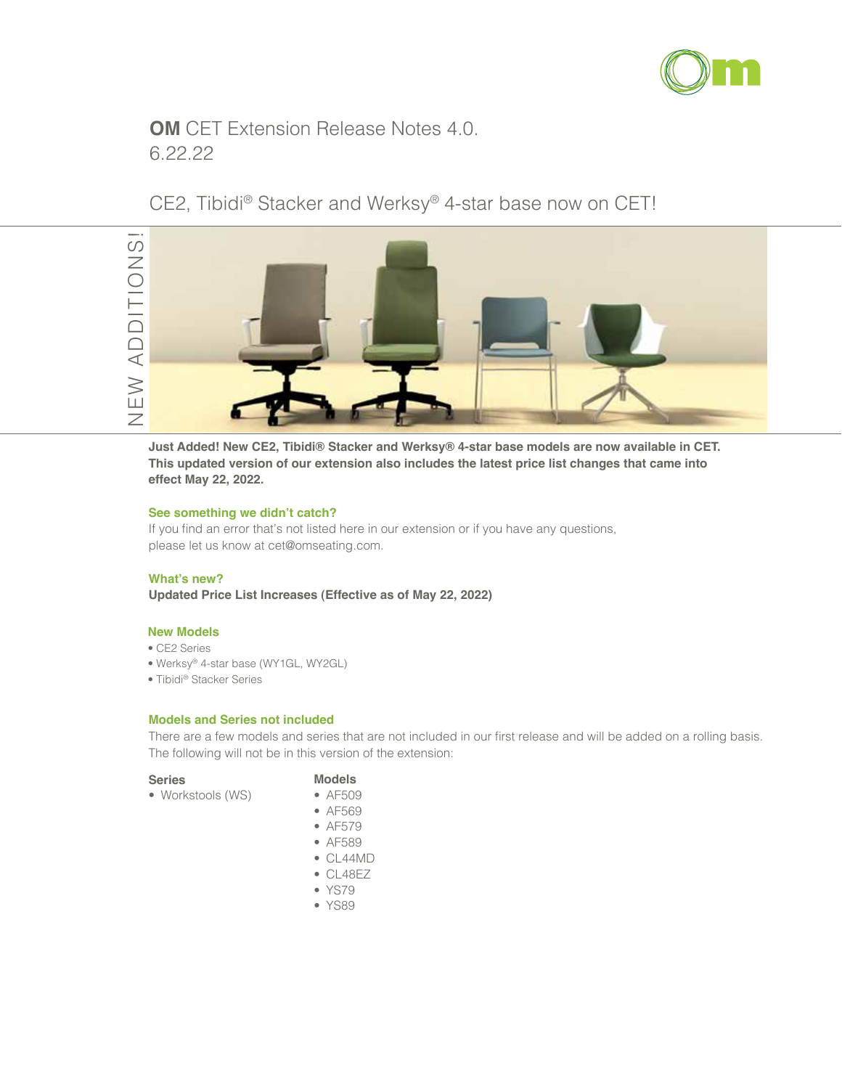

## **OM** CET Extension Release Notes 4.0. 6.22.22

## CE2, Tibidi® Stacker and Werksy® 4-star base now on CET!



**Just Added! New CE2, Tibidi® Stacker and Werksy® 4-star base models are now available in CET. This updated version of our extension also includes the latest price list changes that came into effect May 22, 2022.** 

#### **See something we didn't catch?**

If you find an error that's not listed here in our extension or if you have any questions, please let us know at cet@omseating.com.

#### **What's new?**

**Updated Price List Increases (Effective as of May 22, 2022)**

#### **New Models**

- CE2 Series
- Werksy® 4-star base (WY1GL, WY2GL)
- Tibidi® Stacker Series

#### **Models and Series not included**

There are a few models and series that are not included in our first release and will be added on a rolling basis. The following will not be in this version of the extension:

### **Series**

### **Models**

- Workstools (WS)
- AF509
- AF569
- AF579
- AF589
- CL44MD
- CL48EZ
- YS79
- YS89